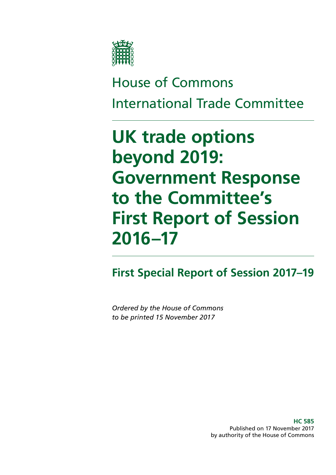

# House of Commons International Trade Committee

# **UK trade options beyond 2019: Government Response to the Committee's First Report of Session 2016–17**

# **First Special Report of Session 2017–19**

*Ordered by the House of Commons to be printed 15 November 2017*

> **HC 585** Published on 17 November 2017 by authority of the House of Commons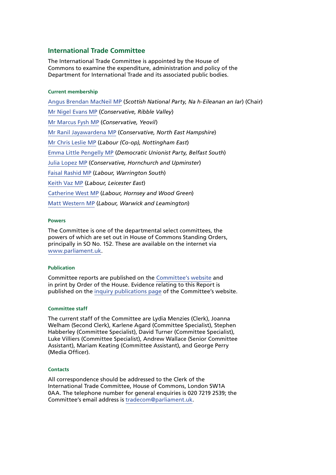#### **International Trade Committee**

The International Trade Committee is appointed by the House of Commons to examine the expenditure, administration and policy of the Department for International Trade and its associated public bodies.

#### **Current membership**

[Angus Brendan MacNeil MP](https://www.parliament.uk/biographies/commons/angus-brendan-macneil/1546) (*Scottish National Party, Na h-Eileanan an Iar*) (Chair) [Mr Nigel Evans MP](https://www.parliament.uk/biographies/commons/mr-nigel-evans/474) (*Conservative, Ribble Valley*) [Mr Marcus Fysh MP](https://www.parliament.uk/biographies/commons/marcus-fysh/4446) (*Conservative, Yeovil*) [Mr Ranil Jayawardena MP](https://www.parliament.uk/biographies/commons/mr-ranil-jayawardena/4498) (*Conservative, North East Hampshire*) [Mr Chris Leslie MP](https://www.parliament.uk/biographies/commons/chris-leslie/422) (*Labour (Co-op), Nottingham East*) [Emma Little Pengelly MP](http://www.parliament.uk/biographies/commons/emma-little-pengelly/4611) (*Democratic Unionist Party, Belfast South*) [Julia Lopez MP](http://www.parliament.uk/biographies/commons/julia-lopez/4647) (*Conservative, Hornchurch and Upminster*) [Faisal Rashid MP](http://www.parliament.uk/biographies/commons/faisal-rashid/4670) (*Labour, Warrington South*) [Keith Vaz MP](http://www.parliament.uk/biographies/commons/keith-vaz/338) (*Labour, Leicester East*) [Catherine West MP](http://www.parliament.uk/biographies/commons/catherine-west/4523) (*Labour, Hornsey and Wood Green*) [Matt Western MP](http://www.parliament.uk/biographies/commons/matt-western/4617) (*Labour, Warwick and Leamington*)

#### **Powers**

The Committee is one of the departmental select committees, the powers of which are set out in House of Commons Standing Orders, principally in SO No. 152. These are available on the internet via [www.parliament.uk](http://www.parliament.uk/).

#### **Publication**

Committee reports are published on the [Committee's website](https://www.parliament.uk/business/committees/committees-a-z/commons-select/international-trade-committee/) and in print by Order of the House. Evidence relating to this Report is published on the [inquiry publications page](http://www.parliament.uk/business/committees/committees-a-z/commons-select/international-trade-committee/inquiries/parliament-2015/uk-trade-options-beyond-2019-16-17/publications/) of the Committee's website.

#### **Committee staff**

The current staff of the Committee are Lydia Menzies (Clerk), Joanna Welham (Second Clerk), Karlene Agard (Committee Specialist), Stephen Habberley (Committee Specialist), David Turner (Committee Specialist), Luke Villiers (Committee Specialist), Andrew Wallace (Senior Committee Assistant), Mariam Keating (Committee Assistant), and George Perry (Media Officer).

#### **Contacts**

All correspondence should be addressed to the Clerk of the International Trade Committee, House of Commons, London SW1A 0AA. The telephone number for general enquiries is 020 7219 2539; the Committee's email address is [tradecom@parliament.uk](mailto:tradecom@parliament.uk).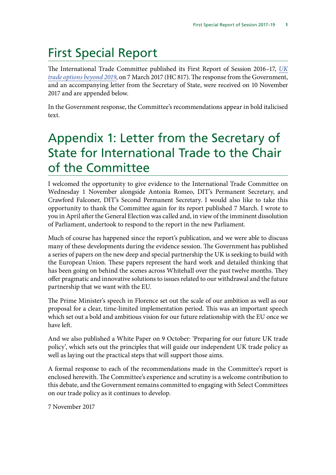# First Special Report

The International Trade Committee published its First Report of Session 2016–17, *[UK](https://publications.parliament.uk/pa/cm201617/cmselect/cmintrade/817/81702.htm) [trade options beyond 2019](https://publications.parliament.uk/pa/cm201617/cmselect/cmintrade/817/81702.htm)*, on 7 March 2017 (HC 817). The response from the Government, and an accompanying letter from the Secretary of State, were received on 10 November 2017 and are appended below.

In the Government response, the Committee's recommendations appear in bold italicised text.

# Appendix 1: Letter from the Secretary of State for International Trade to the Chair of the Committee

I welcomed the opportunity to give evidence to the International Trade Committee on Wednesday 1 November alongside Antonia Romeo, DIT's Permanent Secretary, and Crawford Falconer, DIT's Second Permanent Secretary. I would also like to take this opportunity to thank the Committee again for its report published 7 March. I wrote to you in April after the General Election was called and, in view of the imminent dissolution of Parliament, undertook to respond to the report in the new Parliament.

Much of course has happened since the report's publication, and we were able to discuss many of these developments during the evidence session. The Government has published a series of papers on the new deep and special partnership the UK is seeking to build with the European Union. These papers represent the hard work and detailed thinking that has been going on behind the scenes across Whitehall over the past twelve months. They offer pragmatic and innovative solutions to issues related to our withdrawal and the future partnership that we want with the EU.

The Prime Minister's speech in Florence set out the scale of our ambition as well as our proposal for a clear, time-limited implementation period. This was an important speech which set out a bold and ambitious vision for our future relationship with the EU once we have left.

And we also published a White Paper on 9 October: 'Preparing for our future UK trade policy', which sets out the principles that will guide our independent UK trade policy as well as laying out the practical steps that will support those aims.

A formal response to each of the recommendations made in the Committee's report is enclosed herewith. The Committee's experience and scrutiny is a welcome contribution to this debate, and the Government remains committed to engaging with Select Committees on our trade policy as it continues to develop.

7 November 2017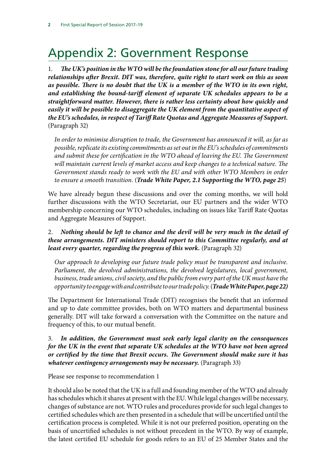# Appendix 2: Government Response

1. *The UK's position in the WTO will be the foundation stone for all our future trading relationships after Brexit. DIT was, therefore, quite right to start work on this as soon as possible. There is no doubt that the UK is a member of the WTO in its own right, and establishing the bound-tariff element of separate UK schedules appears to be a straightforward matter. However, there is rather less certainty about how quickly and easily it will be possible to disaggregate the UK element from the quantitative aspect of the EU's schedules, in respect of Tariff Rate Quotas and Aggregate Measures of Support.*  (Paragraph 32)

*In order to minimise disruption to trade, the Government has announced it will, as far as possible, replicate its existing commitments as set out in the EU's schedules of commitments and submit these for certification in the WTO ahead of leaving the EU. The Government will maintain current levels of market access and keep changes to a technical nature. The Government stands ready to work with the EU and with other WTO Members in order to ensure a smooth transition.* (*Trade White Paper, 2.1 Supporting the WTO, page 25*)

We have already begun these discussions and over the coming months, we will hold further discussions with the WTO Secretariat, our EU partners and the wider WTO membership concerning our WTO schedules, including on issues like Tariff Rate Quotas and Aggregate Measures of Support.

## 2. *Nothing should be left to chance and the devil will be very much in the detail of these arrangements. DIT ministers should report to this Committee regularly, and at least every quarter, regarding the progress of this work.* (Paragraph 32)

*Our approach to developing our future trade policy must be transparent and inclusive. Parliament, the devolved administrations, the devolved legislatures, local government, business, trade unions, civil society, and the public from every part of the UK must have the opportunity to engage with and contribute to our trade policy.* (*Trade White Paper, page 22)*

The Department for International Trade (DIT) recognises the benefit that an informed and up to date committee provides, both on WTO matters and departmental business generally. DIT will take forward a conversation with the Committee on the nature and frequency of this, to our mutual benefit.

### 3. *In addition, the Government must seek early legal clarity on the consequences for the UK in the event that separate UK schedules at the WTO have not been agreed or certified by the time that Brexit occurs. The Government should make sure it has whatever contingency arrangements may be necessary.* (Paragraph 33)

Please see response to recommendation 1

It should also be noted that the UK is a full and founding member of the WTO and already has schedules which it shares at present with the EU. While legal changes will be necessary, changes of substance are not. WTO rules and procedures provide for such legal changes to certified schedules which are then presented in a schedule that will be uncertified until the certification process is completed. While it is not our preferred position, operating on the basis of uncertified schedules is not without precedent in the WTO. By way of example, the latest certified EU schedule for goods refers to an EU of 25 Member States and the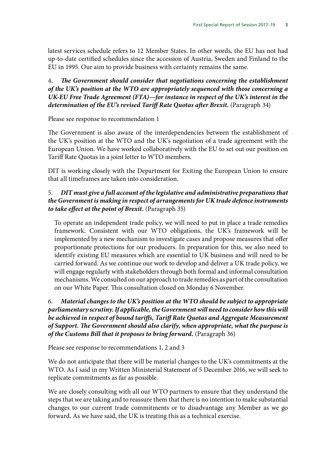latest services schedule refers to 12 Member States. In other words, the EU has not had up-to-date certified schedules since the accession of Austria, Sweden and Finland to the EU in 1995. Our aim to provide business with certainty remains the same.

### 4. *The Government should consider that negotiations concerning the establishment of the UK's position at the WTO are appropriately sequenced with those concerning a UK-EU Free Trade Agreement (FTA)—for instance in respect of the UK's interest in the*  determination of the EU's revised Tariff Rate Quotas after Brexit. (Paragraph 34)

Please see response to recommendation 1

The Government is also aware of the interdependencies between the establishment of the UK's position at the WTO and the UK's negotiation of a trade agreement with the European Union. We have worked collaboratively with the EU to set out our position on Tariff Rate Quotas in a joint letter to WTO members.

DIT is working closely with the Department for Exiting the European Union to ensure that all timeframes are taken into consideration.

### 5. *DIT must give a full account of the legislative and administrative preparations that the Government is making in respect of arrangements for UK trade defence instruments to take effect at the point of Brexit.* (Paragraph 35)

To operate an independent trade policy, we will need to put in place a trade remedies framework. Consistent with our WTO obligations, the UK's framework will be implemented by a new mechanism to investigate cases and propose measures that offer proportionate protections for our producers. In preparation for this, we also need to identify existing EU measures which are essential to UK business and will need to be carried forward. As we continue our work to develop and deliver a UK trade policy, we will engage regularly with stakeholders through both formal and informal consultation mechanisms. We consulted on our approach to trade remedies as part of the consultation on our White Paper. This consultation closed on Monday 6 November.

## 6. *Material changes to the UK's position at the WTO should be subject to appropriate parliamentary scrutiny. If applicable, the Government will need to consider how this will be achieved in respect of bound tariffs, Tariff Rate Quotas and Aggregate Measurement of Support. The Government should also clarify, when appropriate, what the purpose is of the Customs Bill that it proposes to bring forward.* (Paragraph 36)

Please see response to recommendations 1, 2 and 3

We do not anticipate that there will be material changes to the UK's commitments at the WTO. As I said in my Written Ministerial Statement of 5 December 2016, we will seek to replicate commitments as far as possible.

We are closely consulting with all our WTO partners to ensure that they understand the steps that we are taking and to reassure them that there is no intention to make substantial changes to our current trade commitments or to disadvantage any Member as we go forward. As we have said, the UK is treating this as a technical exercise.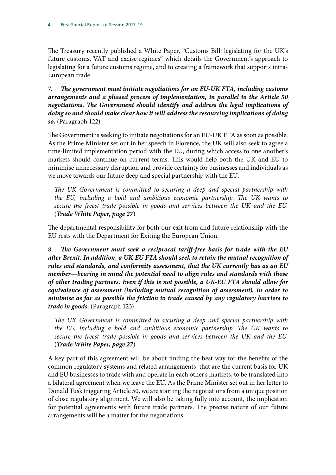The Treasury recently published a White Paper, "Customs Bill: legislating for the UK's future customs, VAT and excise regimes" which details the Government's approach to legislating for a future customs regime, and to creating a framework that supports intra-European trade.

7. *The government must initiate negotiations for an EU-UK FTA, including customs arrangements and a phased process of implementation, in parallel to the Article 50 negotiations. The Government should identify and address the legal implications of doing so and should make clear how it will address the resourcing implications of doing so.* (Paragraph 122)

The Government is seeking to initiate negotiations for an EU-UK FTA as soon as possible. As the Prime Minister set out in her speech in Florence, the UK will also seek to agree a time-limited implementation period with the EU, during which access to one another's markets should continue on current terms. This would help both the UK and EU to minimise unnecessary disruption and provide certainty for businesses and individuals as we move towards our future deep and special partnership with the EU.

*The UK Government is committed to securing a deep and special partnership with the EU, including a bold and ambitious economic partnership. The UK wants to secure the freest trade possible in goods and services between the UK and the EU.* (*Trade White Paper, page 27*)

The departmental responsibility for both our exit from and future relationship with the EU rests with the Department for Exiting the European Union.

8. *The Government must seek a reciprocal tariff-free basis for trade with the EU after Brexit. In addition, a UK-EU FTA should seek to retain the mutual recognition of rules and standards, and conformity assessment, that the UK currently has as an EU member—bearing in mind the potential need to align rules and standards with those of other trading partners. Even if this is not possible, a UK-EU FTA should allow for equivalence of assessment (including mutual recognition of assessment), in order to minimise as far as possible the friction to trade caused by any regulatory barriers to trade in goods.* (Paragraph 123)

*The UK Government is committed to securing a deep and special partnership with the EU, including a bold and ambitious economic partnership. The UK wants to secure the freest trade possible in goods and services between the UK and the EU.* (*Trade White Paper, page 27*)

A key part of this agreement will be about finding the best way for the benefits of the common regulatory systems and related arrangements, that are the current basis for UK and EU businesses to trade with and operate in each other's markets, to be translated into a bilateral agreement when we leave the EU. As the Prime Minister set out in her letter to Donald Tusk triggering Article 50, we are starting the negotiations from a unique position of close regulatory alignment. We will also be taking fully into account, the implication for potential agreements with future trade partners. The precise nature of our future arrangements will be a matter for the negotiations.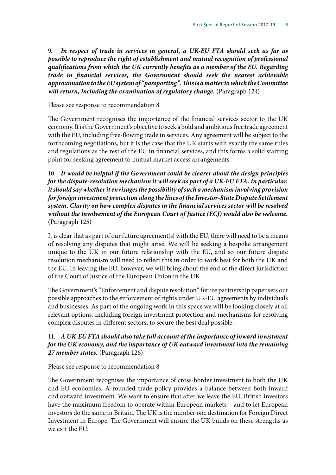9. *In respect of trade in services in general, a UK-EU FTA should seek as far as possible to reproduce the right of establishment and mutual recognition of professional qualifications from which the UK currently benefits as a member of the EU. Regarding trade in financial services, the Government should seek the nearest achievable approximation to the EU system of "passporting". This is a matter to which the Committee*  will return, including the examination of regulatory change. (Paragraph 124)

#### Please see response to recommendation 8

The Government recognises the importance of the financial services sector to the UK economy. It is the Government's objective to seek a bold and ambitious free trade agreement with the EU, including free-flowing trade in services. Any agreement will be subject to the forthcoming negotiations, but it is the case that the UK starts with exactly the same rules and regulations as the rest of the EU in financial services, and this forms a solid starting point for seeking agreement to mutual market access arrangements.

10. *It would be helpful if the Government could be clearer about the design principles for the dispute-resolution mechanism it will seek as part of a UK-EU FTA. In particular, it should say whether it envisages the possibility of such a mechanism involving provision for foreign investment protection along the lines of the Investor-State Dispute Settlement system. Clarity on how complex disputes in the financial services sector will be resolved without the involvement of the European Court of Justice (ECJ) would also be welcome.*  (Paragraph 125)

It is clear that as part of our future agreement(s) with the EU, there will need to be a means of resolving any disputes that might arise. We will be seeking a bespoke arrangement unique to the UK in our future relationship with the EU, and so our future dispute resolution mechanism will need to reflect this in order to work best for both the UK and the EU. In leaving the EU, however, we will bring about the end of the direct jurisdiction of the Court of Justice of the European Union in the UK.

The Government's "Enforcement and dispute resolution" future partnership paper sets out possible approaches to the enforcement of rights under UK-EU agreements by individuals and businesses. As part of the ongoing work in this space we will be looking closely at all relevant options, including foreign investment protection and mechanisms for resolving complex disputes in different sectors, to secure the best deal possible.

## 11. *A UK-EU FTA should also take full account of the importance of inward investment for the UK economy, and the importance of UK outward investment into the remaining 27 member states.* (Paragraph 126)

Please see response to recommendation 8

The Government recognises the importance of cross-border investment to both the UK and EU economies. A rounded trade policy provides a balance between both inward and outward investment. We want to ensure that after we leave the EU, British investors have the maximum freedom to operate within European markets – and to let European investors do the same in Britain. The UK is the number one destination for Foreign Direct Investment in Europe. The Government will ensure the UK builds on these strengths as we exit the EU.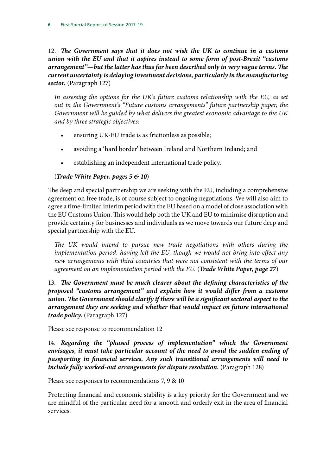12. *The Government says that it does not wish the UK to continue in a customs union with the EU and that it aspires instead to some form of post-Brexit "customs arrangement"—but the latter has thus far been described only in very vague terms. The current uncertainty is delaying investment decisions, particularly in the manufacturing sector.* (Paragraph 127)

*In assessing the options for the UK's future customs relationship with the EU, as set out in the Government's "Future customs arrangements" future partnership paper, the Government will be guided by what delivers the greatest economic advantage to the UK and by three strategic objectives:*

- ensuring UK-EU trade is as frictionless as possible;
- avoiding a 'hard border' between Ireland and Northern Ireland; and
- establishing an independent international trade policy.

### (*Trade White Paper, pages 5 & 10*)

The deep and special partnership we are seeking with the EU, including a comprehensive agreement on free trade, is of course subject to ongoing negotiations. We will also aim to agree a time-limited interim period with the EU based on a model of close association with the EU Customs Union. This would help both the UK and EU to minimise disruption and provide certainty for businesses and individuals as we move towards our future deep and special partnership with the EU.

*The UK would intend to pursue new trade negotiations with others during the implementation period, having left the EU, though we would not bring into effect any new arrangements with third countries that were not consistent with the terms of our agreement on an implementation period with the EU.* (*Trade White Paper, page 27*)

13. *The Government must be much clearer about the defining characteristics of the proposed "customs arrangement" and explain how it would differ from a customs union. The Government should clarify if there will be a significant sectoral aspect to the arrangement they are seeking and whether that would impact on future international trade policy.* (Paragraph 127)

Please see response to recommendation 12

14. *Regarding the "phased process of implementation" which the Government*  envisages, it must take particular account of the need to avoid the sudden ending of *passporting in financial services. Any such transitional arrangements will need to include fully worked-out arrangements for dispute resolution.* (Paragraph 128)

Please see responses to recommendations 7, 9 & 10

Protecting financial and economic stability is a key priority for the Government and we are mindful of the particular need for a smooth and orderly exit in the area of financial services.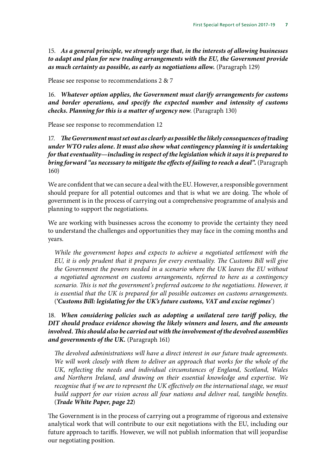15. *As a general principle, we strongly urge that, in the interests of allowing businesses to adapt and plan for new trading arrangements with the EU, the Government provide as much certainty as possible, as early as negotiations allow.* (Paragraph 129)

Please see response to recommendations 2 & 7

16. *Whatever option applies, the Government must clarify arrangements for customs and border operations, and specify the expected number and intensity of customs checks. Planning for this is a matter of urgency now*. (Paragraph 130)

Please see response to recommendation 12

17. *The Government must set out as clearly as possible the likely consequences of trading under WTO rules alone. It must also show what contingency planning it is undertaking for that eventuality—including in respect of the legislation which it says it is prepared to bring forward "as necessary to mitigate the effects of failing to reach a deal".* (Paragraph 160)

We are confident that we can secure a deal with the EU. However, a responsible government should prepare for all potential outcomes and that is what we are doing. The whole of government is in the process of carrying out a comprehensive programme of analysis and planning to support the negotiations.

We are working with businesses across the economy to provide the certainty they need to understand the challenges and opportunities they may face in the coming months and years.

*While the government hopes and expects to achieve a negotiated settlement with the EU, it is only prudent that it prepares for every eventuality. The Customs Bill will give the Government the powers needed in a scenario where the UK leaves the EU without a negotiated agreement on customs arrangements, referred to here as a contingency scenario. This is not the government's preferred outcome to the negotiations. However, it is essential that the UK is prepared for all possible outcomes on customs arrangements.*  (*'Customs Bill: legislating for the UK's future customs, VAT and excise regimes*')

### 18. *When considering policies such as adopting a unilateral zero tariff policy, the DIT should produce evidence showing the likely winners and losers, and the amounts involved. This should also be carried out with the involvement of the devolved assemblies and governments of the UK.* (Paragraph 161)

*The devolved administrations will have a direct interest in our future trade agreements. We will work closely with them to deliver an approach that works for the whole of the UK, reflecting the needs and individual circumstances of England, Scotland, Wales and Northern Ireland, and drawing on their essential knowledge and expertise. We recognise that if we are to represent the UK effectively on the international stage, we must build support for our vision across all four nations and deliver real, tangible benefits.* (*Trade White Paper, page 22*)

The Government is in the process of carrying out a programme of rigorous and extensive analytical work that will contribute to our exit negotiations with the EU, including our future approach to tariffs. However, we will not publish information that will jeopardise our negotiating position.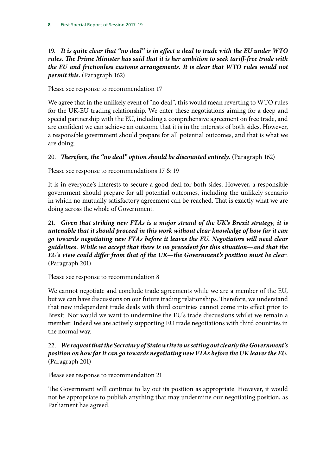19. *It is quite clear that "no deal" is in effect a deal to trade with the EU under WTO rules. The Prime Minister has said that it is her ambition to seek tariff-free trade with the EU and frictionless customs arrangements. It is clear that WTO rules would not permit this.* (Paragraph 162)

Please see response to recommendation 17

We agree that in the unlikely event of "no deal", this would mean reverting to WTO rules for the UK-EU trading relationship. We enter these negotiations aiming for a deep and special partnership with the EU, including a comprehensive agreement on free trade, and are confident we can achieve an outcome that it is in the interests of both sides. However, a responsible government should prepare for all potential outcomes, and that is what we are doing.

### 20. *Therefore, the "no deal" option should be discounted entirely.* (Paragraph 162)

Please see response to recommendations 17 & 19

It is in everyone's interests to secure a good deal for both sides. However, a responsible government should prepare for all potential outcomes, including the unlikely scenario in which no mutually satisfactory agreement can be reached. That is exactly what we are doing across the whole of Government.

21. *Given that striking new FTAs is a major strand of the UK's Brexit strategy, it is untenable that it should proceed in this work without clear knowledge of how far it can go towards negotiating new FTAs before it leaves the EU. Negotiators will need clear guidelines. While we accept that there is no precedent for this situation—and that the EU's view could differ from that of the UK—the Government's position must be clea*r. (Paragraph 201)

Please see response to recommendation 8

We cannot negotiate and conclude trade agreements while we are a member of the EU, but we can have discussions on our future trading relationships. Therefore, we understand that new independent trade deals with third countries cannot come into effect prior to Brexit. Nor would we want to undermine the EU's trade discussions whilst we remain a member. Indeed we are actively supporting EU trade negotiations with third countries in the normal way.

22. *We request that the Secretary of State write to us setting out clearly the Government's position on how far it can go towards negotiating new FTAs before the UK leaves the EU.*  (Paragraph 201)

Please see response to recommendation 21

The Government will continue to lay out its position as appropriate. However, it would not be appropriate to publish anything that may undermine our negotiating position, as Parliament has agreed.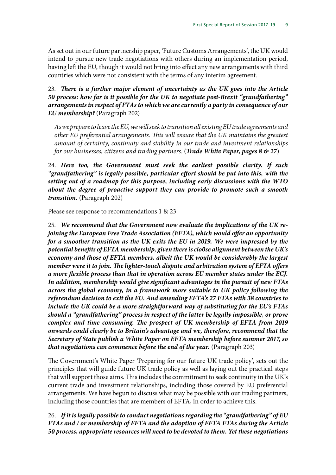As set out in our future partnership paper, 'Future Customs Arrangements', the UK would intend to pursue new trade negotiations with others during an implementation period, having left the EU, though it would not bring into effect any new arrangements with third countries which were not consistent with the terms of any interim agreement.

23. *There is a further major element of uncertainty as the UK goes into the Article 50 process: how far is it possible for the UK to negotiate post-Brexit "grandfathering" arrangements in respect of FTAs to which we are currently a party in consequence of our EU membership?* (Paragraph 202)

*As we prepare to leave the EU, we will seek to transition all existing EU trade agreements and other EU preferential arrangements. This will ensure that the UK maintains the greatest amount of certainty, continuity and stability in our trade and investment relationships for our businesses, citizens and trading partners.* (*Trade White Paper, pages 8 & 27*)

24. *Here too, the Government must seek the earliest possible clarity. If such "grandfathering" is legally possible, particular effort should be put into this, with the setting out of a roadmap for this purpose, including early discussions with the WTO about the degree of proactive support they can provide to promote such a smooth transition.* (Paragraph 202)

Please see response to recommendations 1 & 23

25. *We recommend that the Government now evaluate the implications of the UK rejoining the European Free Trade Association (EFTA), which would offer an opportunity for a smoother transition as the UK exits the EU in 2019. We were impressed by the potential benefits of EFTA membership, given there is clo0se alignment between the UK's economy and those of EFTA members, albeit the UK would be considerably the largest member were it to join. The lighter-touch dispute and arbitration system of EFTA offers a more flexible process than that in operation across EU member states under the ECJ. In addition, membership would give significant advantages in the pursuit of new FTAs across the global economy, in a framework more suitable to UK policy following the referendum decision to exit the EU. And amending EFTA's 27 FTAs with 38 countries to include the UK could be a more straightforward way of substituting for the EU's FTAs should a "grandfathering" process in respect of the latter be legally impossible, or prove complex and time-consuming. The prospect of UK membership of EFTA from 2019 onwards could clearly be to Britain's advantage and we, therefore, recommend that the Secretary of State publish a White Paper on EFTA membership before summer 2017, so that negotiations can commence before the end of the year.* (Paragraph 203)

The Government's White Paper 'Preparing for our future UK trade policy', sets out the principles that will guide future UK trade policy as well as laying out the practical steps that will support those aims. This includes the commitment to seek continuity in the UK's current trade and investment relationships, including those covered by EU preferential arrangements. We have begun to discuss what may be possible with our trading partners, including those countries that are members of EFTA, in order to achieve this.

26. *If it is legally possible to conduct negotiations regarding the "grandfathering" of EU FTAs and / or membership of EFTA and the adoption of EFTA FTAs during the Article 50 process, appropriate resources will need to be devoted to them. Yet these negotiations*